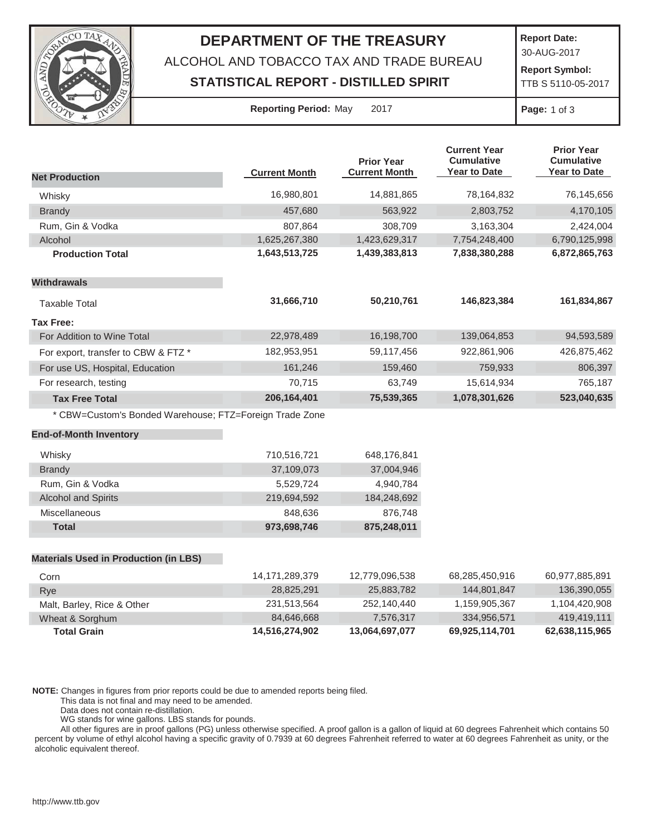

## **DEPARTMENT OF THE TREASURY**

ALCOHOL AND TOBACCO TAX AND TRADE BUREAU

## **STATISTICAL REPORT - DISTILLED SPIRIT**

**Report Date:**

30-AUG-2017

**Report Symbol:** TTB S 5110-05-2017

| <b>Reporting Period: May</b> |  |  | $20^{\circ}$ |
|------------------------------|--|--|--------------|
|------------------------------|--|--|--------------|

**Page:** 1 of 3

|                                                         |                      | <b>Prior Year</b>    | <b>Current Year</b><br><b>Cumulative</b> | <b>Prior Year</b><br><b>Cumulative</b> |
|---------------------------------------------------------|----------------------|----------------------|------------------------------------------|----------------------------------------|
| <b>Net Production</b>                                   | <b>Current Month</b> | <b>Current Month</b> | Year to Date                             | <b>Year to Date</b>                    |
| Whisky                                                  | 16,980,801           | 14,881,865           | 78,164,832                               | 76,145,656                             |
| <b>Brandy</b>                                           | 457,680              | 563,922              | 2,803,752                                | 4,170,105                              |
| Rum, Gin & Vodka                                        | 807,864              | 308,709              | 3,163,304                                | 2,424,004                              |
| Alcohol                                                 | 1,625,267,380        | 1,423,629,317        | 7,754,248,400                            | 6,790,125,998                          |
| <b>Production Total</b>                                 | 1,643,513,725        | 1,439,383,813        | 7,838,380,288                            | 6,872,865,763                          |
| <b>Withdrawals</b>                                      |                      |                      |                                          |                                        |
| <b>Taxable Total</b>                                    | 31,666,710           | 50,210,761           | 146,823,384                              | 161,834,867                            |
| <b>Tax Free:</b>                                        |                      |                      |                                          |                                        |
| For Addition to Wine Total                              | 22,978,489           | 16,198,700           | 139,064,853                              | 94,593,589                             |
| For export, transfer to CBW & FTZ *                     | 182,953,951          | 59,117,456           | 922,861,906                              | 426,875,462                            |
| For use US, Hospital, Education                         | 161,246              | 159,460              | 759,933                                  | 806,397                                |
| For research, testing                                   | 70,715               | 63,749               | 15,614,934                               | 765,187                                |
| <b>Tax Free Total</b>                                   | 206, 164, 401        | 75,539,365           | 1,078,301,626                            | 523,040,635                            |
| * CBW=Custom's Bonded Warehouse; FTZ=Foreign Trade Zone |                      |                      |                                          |                                        |
| <b>End-of-Month Inventory</b>                           |                      |                      |                                          |                                        |
| Whisky                                                  | 710,516,721          | 648,176,841          |                                          |                                        |
| <b>Brandy</b>                                           | 37,109,073           | 37,004,946           |                                          |                                        |
| Rum, Gin & Vodka                                        | 5,529,724            | 4,940,784            |                                          |                                        |
| <b>Alcohol and Spirits</b>                              | 219,694,592          | 184,248,692          |                                          |                                        |
| Miscellaneous                                           | 848,636              | 876,748              |                                          |                                        |
| <b>Total</b>                                            | 973,698,746          | 875,248,011          |                                          |                                        |
|                                                         |                      |                      |                                          |                                        |
| <b>Materials Used in Production (in LBS)</b>            |                      |                      |                                          |                                        |
| Corn                                                    | 14, 171, 289, 379    | 12,779,096,538       | 68,285,450,916                           | 60,977,885,891                         |
| Rye                                                     | 28,825,291           | 25,883,782           | 144,801,847                              | 136,390,055                            |
| Malt, Barley, Rice & Other                              | 231,513,564          | 252,140,440          | 1,159,905,367                            | 1,104,420,908                          |
| Wheat & Sorghum                                         | 84,646,668           | 7,576,317            | 334,956,571                              | 419,419,111                            |

**NOTE:** Changes in figures from prior reports could be due to amended reports being filed.

This data is not final and may need to be amended.

Data does not contain re-distillation.

WG stands for wine gallons. LBS stands for pounds.

All other figures are in proof gallons (PG) unless otherwise specified. A proof gallon is a gallon of liquid at 60 degrees Fahrenheit which contains 50 percent by volume of ethyl alcohol having a specific gravity of 0.7939 at 60 degrees Fahrenheit referred to water at 60 degrees Fahrenheit as unity, or the alcoholic equivalent thereof.

**Total Grain 14,516,274,902 13,064,697,077 69,925,114,701 62,638,115,965**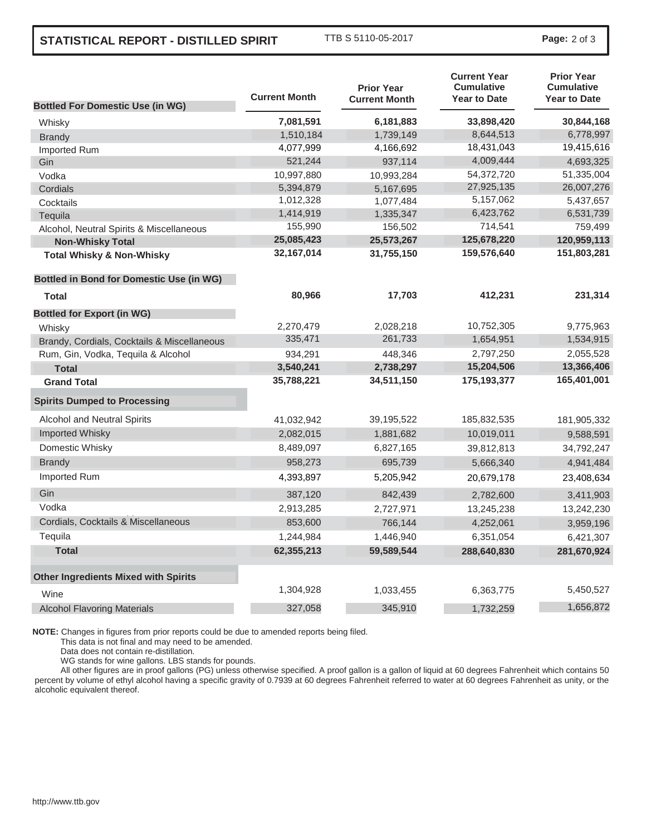## **STATISTICAL REPORT - DISTILLED SPIRIT** TTB S 5110-05-2017 **Page:** <sup>2</sup> of 3

|                                                 | <b>Current Month</b> | <b>Prior Year</b>    | <b>Current Year</b><br><b>Cumulative</b><br><b>Year to Date</b> | <b>Prior Year</b><br><b>Cumulative</b><br><b>Year to Date</b> |
|-------------------------------------------------|----------------------|----------------------|-----------------------------------------------------------------|---------------------------------------------------------------|
| <b>Bottled For Domestic Use (in WG)</b>         |                      | <b>Current Month</b> |                                                                 |                                                               |
| Whisky                                          | 7,081,591            | 6,181,883            | 33,898,420                                                      | 30,844,168                                                    |
| <b>Brandy</b>                                   | 1,510,184            | 1,739,149            | 8,644,513                                                       | 6,778,997                                                     |
| Imported Rum                                    | 4,077,999            | 4,166,692            | 18,431,043                                                      | 19,415,616                                                    |
| Gin                                             | 521,244              | 937,114              | 4,009,444                                                       | 4,693,325                                                     |
| Vodka                                           | 10,997,880           | 10,993,284           | 54,372,720                                                      | 51,335,004                                                    |
| Cordials                                        | 5,394,879            | 5,167,695            | 27,925,135                                                      | 26,007,276                                                    |
| Cocktails                                       | 1,012,328            | 1,077,484            | 5,157,062                                                       | 5,437,657                                                     |
| Tequila                                         | 1,414,919            | 1,335,347            | 6,423,762                                                       | 6,531,739                                                     |
| Alcohol, Neutral Spirits & Miscellaneous        | 155,990              | 156,502              | 714,541                                                         | 759,499                                                       |
| <b>Non-Whisky Total</b>                         | 25,085,423           | 25,573,267           | 125,678,220                                                     | 120,959,113                                                   |
| <b>Total Whisky &amp; Non-Whisky</b>            | 32, 167, 014         | 31,755,150           | 159,576,640                                                     | 151,803,281                                                   |
| <b>Bottled in Bond for Domestic Use (in WG)</b> |                      |                      |                                                                 |                                                               |
| <b>Total</b>                                    | 80,966               | 17,703               | 412,231                                                         | 231,314                                                       |
| <b>Bottled for Export (in WG)</b>               |                      |                      |                                                                 |                                                               |
| Whisky                                          | 2,270,479            | 2,028,218            | 10,752,305                                                      | 9,775,963                                                     |
| Brandy, Cordials, Cocktails & Miscellaneous     | 335,471              | 261,733              | 1,654,951                                                       | 1,534,915                                                     |
| Rum, Gin, Vodka, Tequila & Alcohol              | 934,291              | 448,346              | 2,797,250                                                       | 2,055,528                                                     |
| <b>Total</b>                                    | 3,540,241            | 2,738,297            | 15,204,506                                                      | 13,366,406                                                    |
| <b>Grand Total</b>                              | 35,788,221           | 34,511,150           | 175, 193, 377                                                   | 165,401,001                                                   |
| <b>Spirits Dumped to Processing</b>             |                      |                      |                                                                 |                                                               |
| Alcohol and Neutral Spirits                     | 41,032,942           | 39,195,522           | 185,832,535                                                     | 181,905,332                                                   |
| <b>Imported Whisky</b>                          | 2,082,015            | 1,881,682            | 10,019,011                                                      | 9,588,591                                                     |
| Domestic Whisky                                 | 8,489,097            | 6,827,165            | 39,812,813                                                      | 34,792,247                                                    |
| <b>Brandy</b>                                   | 958,273              | 695,739              | 5,666,340                                                       | 4,941,484                                                     |
| Imported Rum                                    | 4,393,897            | 5,205,942            | 20,679,178                                                      | 23,408,634                                                    |
| Gin                                             | 387,120              | 842,439              | 2,782,600                                                       | 3,411,903                                                     |
| Vodka                                           | 2,913,285            | 2,727,971            | 13,245,238                                                      | 13,242,230                                                    |
| Cordials, Cocktails & Miscellaneous             | 853,600              | 766,144              | 4,252,061                                                       | 3,959,196                                                     |
| Tequila                                         | 1,244,984            | 1,446,940            | 6,351,054                                                       | 6,421,307                                                     |
| <b>Total</b>                                    | 62,355,213           | 59,589,544           | 288,640,830                                                     | 281,670,924                                                   |
| <b>Other Ingredients Mixed with Spirits</b>     |                      |                      |                                                                 |                                                               |
| Wine                                            | 1,304,928            | 1,033,455            | 6,363,775                                                       | 5,450,527                                                     |
| <b>Alcohol Flavoring Materials</b>              | 327,058              | 345,910              | 1,732,259                                                       | 1,656,872                                                     |

**NOTE:** Changes in figures from prior reports could be due to amended reports being filed.

This data is not final and may need to be amended.

Data does not contain re-distillation.

WG stands for wine gallons. LBS stands for pounds.

All other figures are in proof gallons (PG) unless otherwise specified. A proof gallon is a gallon of liquid at 60 degrees Fahrenheit which contains 50 percent by volume of ethyl alcohol having a specific gravity of 0.7939 at 60 degrees Fahrenheit referred to water at 60 degrees Fahrenheit as unity, or the alcoholic equivalent thereof.